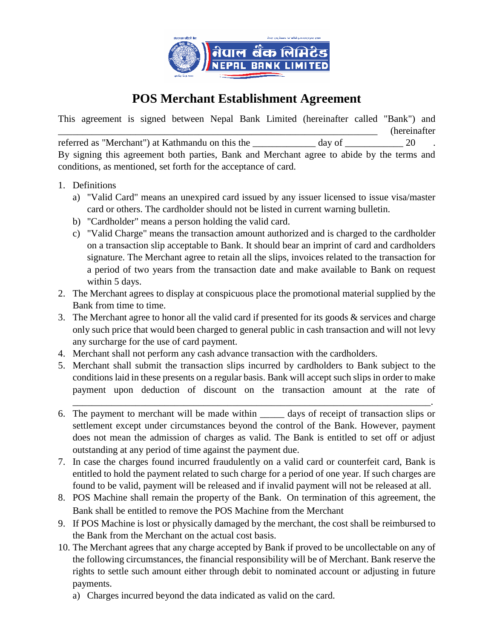

## **POS Merchant Establishment Agreement**

This agreement is signed between Nepal Bank Limited (hereinafter called "Bank") and \_\_\_\_\_\_\_\_\_\_\_\_\_\_\_\_\_\_\_\_\_\_\_\_\_\_\_\_\_\_\_\_\_\_\_\_\_\_\_\_\_\_\_\_\_\_\_\_\_\_\_\_\_\_\_\_\_\_\_\_\_\_\_\_\_\_ (hereinafter referred as "Merchant") at Kathmandu on this the day of  $20$ By signing this agreement both parties, Bank and Merchant agree to abide by the terms and conditions, as mentioned, set forth for the acceptance of card.

- 1. Definitions
	- a) "Valid Card" means an unexpired card issued by any issuer licensed to issue visa/master card or others. The cardholder should not be listed in current warning bulletin.
	- b) "Cardholder" means a person holding the valid card.
	- c) "Valid Charge" means the transaction amount authorized and is charged to the cardholder on a transaction slip acceptable to Bank. It should bear an imprint of card and cardholders signature. The Merchant agree to retain all the slips, invoices related to the transaction for a period of two years from the transaction date and make available to Bank on request within 5 days.
- 2. The Merchant agrees to display at conspicuous place the promotional material supplied by the Bank from time to time.
- 3. The Merchant agree to honor all the valid card if presented for its goods & services and charge only such price that would been charged to general public in cash transaction and will not levy any surcharge for the use of card payment.
- 4. Merchant shall not perform any cash advance transaction with the cardholders.
- 5. Merchant shall submit the transaction slips incurred by cardholders to Bank subject to the conditions laid in these presents on a regular basis. Bank will accept such slips in order to make payment upon deduction of discount on the transaction amount at the rate of

\_\_\_\_\_\_\_\_\_\_\_\_\_\_\_\_\_\_\_\_\_\_\_\_\_\_\_\_\_\_\_\_\_\_\_\_\_\_\_\_\_\_\_\_\_\_\_\_\_\_\_\_\_\_\_\_\_\_\_\_\_\_\_\_\_\_\_\_\_\_\_\_\_\_.

- 6. The payment to merchant will be made within days of receipt of transaction slips or settlement except under circumstances beyond the control of the Bank. However, payment does not mean the admission of charges as valid. The Bank is entitled to set off or adjust outstanding at any period of time against the payment due.
- 7. In case the charges found incurred fraudulently on a valid card or counterfeit card, Bank is entitled to hold the payment related to such charge for a period of one year. If such charges are found to be valid, payment will be released and if invalid payment will not be released at all.
- 8. POS Machine shall remain the property of the Bank. On termination of this agreement, the Bank shall be entitled to remove the POS Machine from the Merchant
- 9. If POS Machine is lost or physically damaged by the merchant, the cost shall be reimbursed to the Bank from the Merchant on the actual cost basis.
- 10. The Merchant agrees that any charge accepted by Bank if proved to be uncollectable on any of the following circumstances, the financial responsibility will be of Merchant. Bank reserve the rights to settle such amount either through debit to nominated account or adjusting in future payments.
	- a) Charges incurred beyond the data indicated as valid on the card.